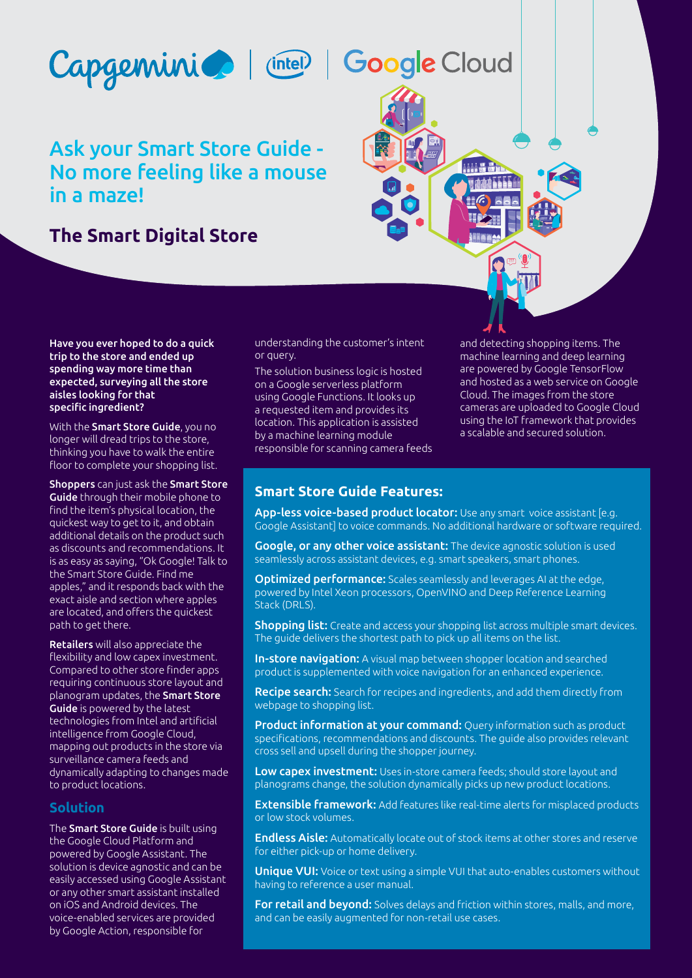



# Ask your Smart Store Guide - No more feeling like a mouse in a maze!

# **The Smart Digital Store**



With the **Smart Store Guide**, you no longer will dread trips to the store, thinking you have to walk the entire floor to complete your shopping list.

Shoppers can just ask the Smart Store Guide through their mobile phone to find the item's physical location, the quickest way to get to it, and obtain additional details on the product such as discounts and recommendations. It is as easy as saying, "Ok Google! Talk to the Smart Store Guide. Find me apples," and it responds back with the exact aisle and section where apples are located, and offers the quickest path to get there.

Retailers will also appreciate the flexibility and low capex investment. Compared to other store finder apps requiring continuous store layout and planogram updates, the Smart Store Guide is powered by the latest technologies from Intel and artificial intelligence from Google Cloud, mapping out products in the store via surveillance camera feeds and dynamically adapting to changes made to product locations.

## **Solution**

The **Smart Store Guide** is built using the Google Cloud Platform and powered by Google Assistant. The solution is device agnostic and can be easily accessed using Google Assistant or any other smart assistant installed on iOS and Android devices. The voice-enabled services are provided by Google Action, responsible for

understanding the customer's intent or query.

The solution business logic is hosted on a Google serverless platform using Google Functions. It looks up a requested item and provides its location. This application is assisted by a machine learning module responsible for scanning camera feeds and detecting shopping items. The machine learning and deep learning are powered by Google TensorFlow and hosted as a web service on Google Cloud. The images from the store cameras are uploaded to Google Cloud using the IoT framework that provides a scalable and secured solution.

# **Smart Store Guide Features:**

App-less voice-based product locator: Use any smart voice assistant le.g. Google Assistant] to voice commands. No additional hardware or software required.

Google, or any other voice assistant: The device agnostic solution is used seamlessly across assistant devices, e.g. smart speakers, smart phones.

**Optimized performance:** Scales seamlessly and leverages AI at the edge, powered by Intel Xeon processors, OpenVINO and Deep Reference Learning Stack (DRLS).

**Shopping list:** Create and access your shopping list across multiple smart devices. The guide delivers the shortest path to pick up all items on the list.

In-store navigation: A visual map between shopper location and searched product is supplemented with voice navigation for an enhanced experience.

Recipe search: Search for recipes and ingredients, and add them directly from webpage to shopping list.

Product information at your command: Query information such as product specifications, recommendations and discounts. The guide also provides relevant cross sell and upsell during the shopper journey.

Low capex investment: Uses in-store camera feeds: should store layout and planograms change, the solution dynamically picks up new product locations.

Extensible framework: Add features like real-time alerts for misplaced products or low stock volumes.

**Endless Aisle:** Automatically locate out of stock items at other stores and reserve for either pick-up or home delivery.

Unique VUI: Voice or text using a simple VUI that auto-enables customers without having to reference a user manual.

For retail and beyond: Solves delays and friction within stores, malls, and more, and can be easily augmented for non-retail use cases.